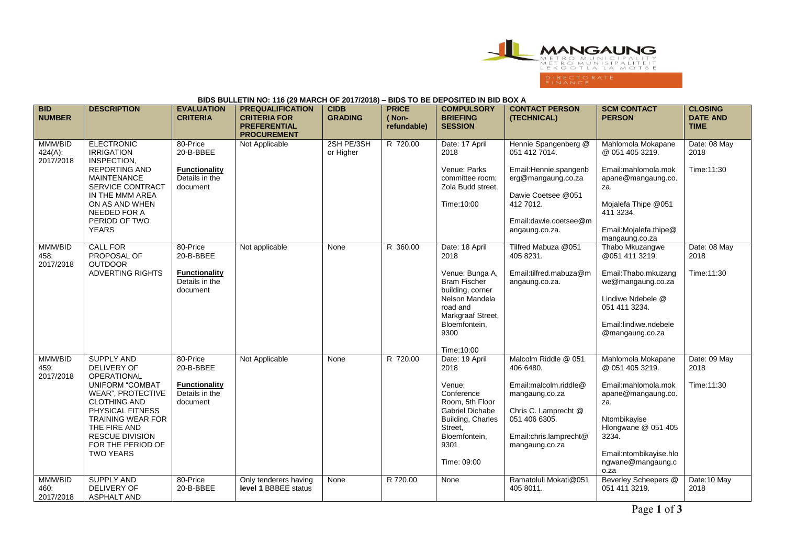

## **BIDS BULLETIN NO: 116 (29 MARCH OF 2017/2018) – BIDS TO BE DEPOSITED IN BID BOX A**

| <b>BID</b><br><b>NUMBER</b>     | <b>DESCRIPTION</b>                                                                                                                                                                                                                                                     | <b>EVALUATION</b><br><b>CRITERIA</b>                                        | <b>PREQUALIFICATION</b><br><b>CRITERIA FOR</b><br><b>PREFERENTIAL</b> | <b>CIDB</b><br><b>GRADING</b> | <b>PRICE</b><br>(Non-<br>refundable) | <b>COMPULSORY</b><br><b>BRIEFING</b><br><b>SESSION</b>                                                                                                                          | <b>CONTACT PERSON</b><br>(TECHNICAL)                                                                                                                                 | <b>SCM CONTACT</b><br><b>PERSON</b>                                                                                                                                                              | <b>CLOSING</b><br><b>DATE AND</b><br><b>TIME</b> |
|---------------------------------|------------------------------------------------------------------------------------------------------------------------------------------------------------------------------------------------------------------------------------------------------------------------|-----------------------------------------------------------------------------|-----------------------------------------------------------------------|-------------------------------|--------------------------------------|---------------------------------------------------------------------------------------------------------------------------------------------------------------------------------|----------------------------------------------------------------------------------------------------------------------------------------------------------------------|--------------------------------------------------------------------------------------------------------------------------------------------------------------------------------------------------|--------------------------------------------------|
| MMM/BID<br>424(A):<br>2017/2018 | <b>ELECTRONIC</b><br><b>IRRIGATION</b><br>INSPECTION,<br><b>REPORTING AND</b><br><b>MAINTENANCE</b><br>SERVICE CONTRACT<br>IN THE MMM AREA<br>ON AS AND WHEN<br>NEEDED FOR A<br>PERIOD OF TWO<br><b>YEARS</b>                                                          | 80-Price<br>20-B-BBEE<br><b>Functionality</b><br>Details in the<br>document | <b>PROCUREMENT</b><br>Not Applicable                                  | 2SH PE/3SH<br>or Higher       | R 720.00                             | Date: 17 April<br>2018<br>Venue: Parks<br>committee room:<br>Zola Budd street.<br>Time: 10:00                                                                                   | Hennie Spangenberg @<br>051 412 7014.<br>Email: Hennie.spangenb<br>erg@mangaung.co.za<br>Dawie Coetsee @051<br>412 7012.<br>Email: dawie.coetsee@m<br>angaung.co.za. | Mahlomola Mokapane<br>@ 051 405 3219.<br>Email:mahlomola.mok<br>apane@mangaung.co.<br>za.<br>Mojalefa Thipe @051<br>411 3234.<br>Email:Mojalefa.thipe@<br>mangaung.co.za                         | Date: 08 May<br>2018<br>Time: 11:30              |
| MMM/BID<br>458:<br>2017/2018    | <b>CALL FOR</b><br>PROPOSAL OF<br><b>OUTDOOR</b><br><b>ADVERTING RIGHTS</b>                                                                                                                                                                                            | 80-Price<br>20-B-BBEE<br><b>Functionality</b><br>Details in the<br>document | Not applicable                                                        | None                          | R 360.00                             | Date: 18 April<br>2018<br>Venue: Bunga A,<br><b>Bram Fischer</b><br>building, corner<br>Nelson Mandela<br>road and<br>Markgraaf Street,<br>Bloemfontein,<br>9300<br>Time: 10:00 | Tilfred Mabuza @051<br>405 8231.<br>Email:tilfred.mabuza@m<br>angaung.co.za.                                                                                         | Thabo Mkuzangwe<br>@051 411 3219.<br>Email: Thabo.mkuzang<br>we@mangaung.co.za<br>Lindiwe Ndebele @<br>051 411 3234.<br>Email:lindiwe.ndebele<br>@mangaung.co.za                                 | Date: 08 May<br>2018<br>Time: 11:30              |
| MMM/BID<br>459.<br>2017/2018    | <b>SUPPLY AND</b><br><b>DELIVERY OF</b><br><b>OPERATIONAL</b><br><b>UNIFORM "COMBAT</b><br><b>WEAR", PROTECTIVE</b><br><b>CLOTHING AND</b><br>PHYSICAL FITNESS<br><b>TRAINING WEAR FOR</b><br>THE FIRE AND<br>RESCUE DIVISION<br>FOR THE PERIOD OF<br><b>TWO YEARS</b> | 80-Price<br>20-B-BBEE<br><b>Functionality</b><br>Details in the<br>document | Not Applicable                                                        | None                          | R 720.00                             | Date: 19 April<br>2018<br>Venue:<br>Conference<br>Room. 5th Floor<br><b>Gabriel Dichabe</b><br><b>Building, Charles</b><br>Street,<br>Bloemfontein,<br>9301<br>Time: 09:00      | Malcolm Riddle @ 051<br>406 6480.<br>Email:malcolm.riddle@<br>mangaung.co.za<br>Chris C. Lamprecht @<br>051 406 6305.<br>Email:chris.lamprecht@<br>mangaung.co.za    | Mahlomola Mokapane<br>@ 051 405 3219.<br>Email:mahlomola.mok<br>apane@mangaung.co.<br>za.<br>Ntombikayise<br>Hlongwane @ 051 405<br>3234.<br>Email:ntombikayise.hlo<br>ngwane@mangaung.c<br>o.za | Date: 09 May<br>2018<br>Time: 11:30              |
| MMM/BID<br>460:<br>2017/2018    | <b>SUPPLY AND</b><br>DELIVERY OF<br><b>ASPHALT AND</b>                                                                                                                                                                                                                 | 80-Price<br>20-B-BBEE                                                       | Only tenderers having<br><b>level 1 BBBEE status</b>                  | None                          | R 720.00                             | <b>None</b>                                                                                                                                                                     | Ramatoluli Mokati@051<br>405 8011.                                                                                                                                   | Beverley Scheepers @<br>051 411 3219.                                                                                                                                                            | Date:10 May<br>2018                              |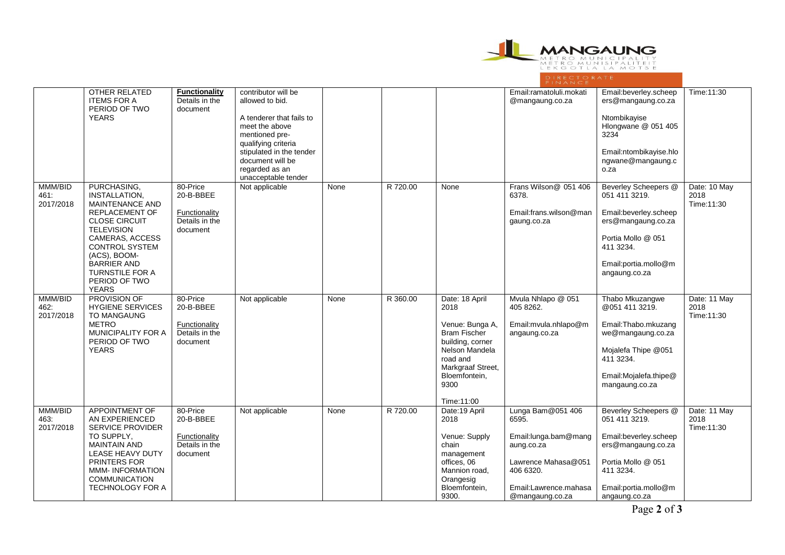

|                              | <b>OTHER RELATED</b><br><b>ITEMS FOR A</b><br>PERIOD OF TWO<br><b>YEARS</b>                                                                                                                                                                                               | <b>Functionality</b><br>Details in the<br>document                   | contributor will be<br>allowed to bid.<br>A tenderer that fails to<br>meet the above<br>mentioned pre-<br>qualifying criteria<br>stipulated in the tender<br>document will be<br>regarded as an<br>unacceptable tender |      |          |                                                                                                                                                                                | Email:ramatoluli.mokati<br>@mangaung.co.za                                                                                                        | Email:beverley.scheep<br>ers@mangaung.co.za<br>Ntombikayise<br>Hlongwane @ 051 405<br>3234<br>Email:ntombikayise.hlo<br>ngwane@mangaung.c<br>o.za                       | Time: 11:30                         |
|------------------------------|---------------------------------------------------------------------------------------------------------------------------------------------------------------------------------------------------------------------------------------------------------------------------|----------------------------------------------------------------------|------------------------------------------------------------------------------------------------------------------------------------------------------------------------------------------------------------------------|------|----------|--------------------------------------------------------------------------------------------------------------------------------------------------------------------------------|---------------------------------------------------------------------------------------------------------------------------------------------------|-------------------------------------------------------------------------------------------------------------------------------------------------------------------------|-------------------------------------|
| MMM/BID<br>461:<br>2017/2018 | PURCHASING,<br>INSTALLATION,<br>MAINTENANCE AND<br><b>REPLACEMENT OF</b><br><b>CLOSE CIRCUIT</b><br><b>TELEVISION</b><br><b>CAMERAS, ACCESS</b><br><b>CONTROL SYSTEM</b><br>(ACS), BOOM-<br><b>BARRIER AND</b><br><b>TURNSTILE FOR A</b><br>PERIOD OF TWO<br><b>YEARS</b> | 80-Price<br>20-B-BBEE<br>Functionality<br>Details in the<br>document | Not applicable                                                                                                                                                                                                         | None | R 720.00 | None                                                                                                                                                                           | Frans Wilson@ 051 406<br>6378.<br>Email:frans.wilson@man<br>gaung.co.za                                                                           | <b>Beverley Scheepers @</b><br>051 411 3219.<br>Email:beverley.scheep<br>ers@mangaung.co.za<br>Portia Mollo @ 051<br>411 3234.<br>Email:portia.mollo@m<br>angaung.co.za | Date: 10 May<br>2018<br>Time:11:30  |
| MMM/BID<br>462:<br>2017/2018 | <b>PROVISION OF</b><br><b>HYGIENE SERVICES</b><br>TO MANGAUNG<br><b>METRO</b><br><b>MUNICIPALITY FOR A</b><br>PERIOD OF TWO<br><b>YEARS</b>                                                                                                                               | 80-Price<br>20-B-BBEE<br>Functionality<br>Details in the<br>document | Not applicable                                                                                                                                                                                                         | None | R 360.00 | Date: 18 April<br>2018<br>Venue: Bunga A,<br><b>Bram Fischer</b><br>building, corner<br>Nelson Mandela<br>road and<br>Markgraaf Street,<br>Bloemfontein,<br>9300<br>Time:11:00 | Mvula Nhlapo @ 051<br>405 8262.<br>Email: mvula.nhlapo@m<br>angaung.co.za                                                                         | Thabo Mkuzangwe<br>@051 411 3219.<br>Email:Thabo.mkuzang<br>we@mangaung.co.za<br>Mojalefa Thipe @051<br>411 3234.<br>Email:Mojalefa.thipe@<br>mangaung.co.za            | Date: 11 May<br>2018<br>Time: 11:30 |
| MMM/BID<br>463:<br>2017/2018 | <b>APPOINTMENT OF</b><br>AN EXPERIENCED<br>SERVICE PROVIDER<br>TO SUPPLY,<br><b>MAINTAIN AND</b><br>LEASE HEAVY DUTY<br>PRINTERS FOR<br><b>MMM-INFORMATION</b><br><b>COMMUNICATION</b><br>TECHNOLOGY FOR A                                                                | 80-Price<br>20-B-BBEE<br>Functionality<br>Details in the<br>document | Not applicable                                                                                                                                                                                                         | None | R 720.00 | Date:19 April<br>2018<br>Venue: Supply<br>chain<br>management<br>offices, 06<br>Mannion road,<br>Orangesig<br>Bloemfontein,<br>9300.                                           | Lunga Bam@051 406<br>6595.<br>Email: lunga.bam@mang<br>aung.co.za<br>Lawrence Mahasa@051<br>406 6320.<br>Email:Lawrence.mahasa<br>@mangaung.co.za | <b>Beverley Scheepers @</b><br>051 411 3219.<br>Email:beverley.scheep<br>ers@mangaung.co.za<br>Portia Mollo @ 051<br>411 3234.<br>Email:portia.mollo@m<br>angaung.co.za | Date: 11 May<br>2018<br>Time: 11:30 |